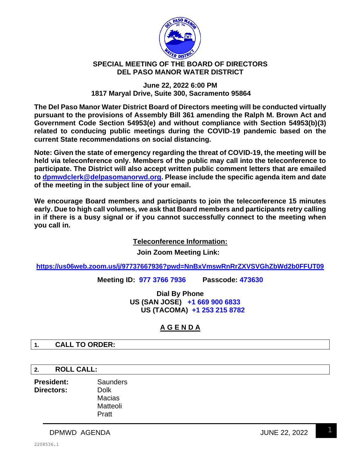

## **SPECIAL MEETING OF THE BOARD OF DIRECTORS DEL PASO MANOR WATER DISTRICT**

## **June 22, 2022 6:00 PM 1817 Maryal Drive, Suite 300, Sacramento 95864**

**The Del Paso Manor Water District Board of Directors meeting will be conducted virtually pursuant to the provisions of Assembly Bill 361 amending the Ralph M. Brown Act and Government Code Section 54953(e) and without compliance with Section 54953(b)(3) related to conducing public meetings during the COVID-19 pandemic based on the current State recommendations on social distancing.**

**Note: Given the state of emergency regarding the threat of COVID-19, the meeting will be held via teleconference only. Members of the public may call into the teleconference to participate. The District will also accept written public comment letters that are emailed to [dpmwdclerk@delpasomanorwd.org.](mailto:dpmwdclerk@delpasomanorwd.org) Please include the specific agenda item and date of the meeting in the subject line of your email.**

**We encourage Board members and participants to join the teleconference 15 minutes early. Due to high call volumes, we ask that Board members and participants retry calling in if there is a busy signal or if you cannot successfully connect to the meeting when you call in.**

**Teleconference Information:**

**Join Zoom Meeting Link:**

**<https://us06web.zoom.us/j/97737667936?pwd=NnBxVmswRnRrZXVSVGhZbWd2b0FFUT09>**

**Meeting ID: 977 3766 7936 Passcode: 473630**

**Dial By Phone US (SAN JOSE) +1 669 900 6833 US (TACOMA) +1 253 215 8782**

# **A G E N D A**

**1. CALL TO ORDER:**

**2. ROLL CALL:**

**President:** Saunders **Directors:** Dolk Macias Matteoli Pratt

DPMWD AGENDA JUNE 22, 2022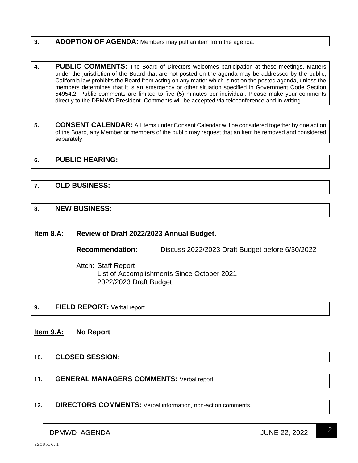## **3. ADOPTION OF AGENDA:** Members may pull an item from the agenda.

- **4. PUBLIC COMMENTS:** The Board of Directors welcomes participation at these meetings. Matters under the jurisdiction of the Board that are not posted on the agenda may be addressed by the public, California law prohibits the Board from acting on any matter which is not on the posted agenda, unless the members determines that it is an emergency or other situation specified in Government Code Section 54954.2. Public comments are limited to five (5) minutes per individual. Please make your comments directly to the DPMWD President. Comments will be accepted via teleconference and in writing.
- **5. CONSENT CALENDAR:** All items under Consent Calendar will be considered together by one action of the Board, any Member or members of the public may request that an item be removed and considered separately.

## **6. PUBLIC HEARING:**

## **7. OLD BUSINESS:**

### **8. NEW BUSINESS:**

#### **Item 8.A: Review of Draft 2022/2023 Annual Budget.**

**Recommendation:** Discuss 2022/2023 Draft Budget before 6/30/2022

Attch: Staff Report List of Accomplishments Since October 2021 2022/2023 Draft Budget

## **9. FIELD REPORT:** Verbal report

## **Item 9.A: No Report**

## **10. CLOSED SESSION:**

## **11. GENERAL MANAGERS COMMENTS:** Verbal report

**12. DIRECTORS COMMENTS:** Verbal information, non-action comments.

DPMWD AGENDA JUNE 22, 2022